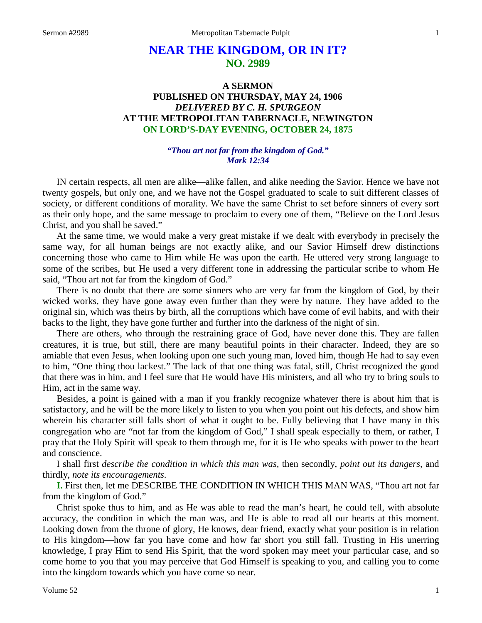# **NEAR THE KINGDOM, OR IN IT? NO. 2989**

## **A SERMON PUBLISHED ON THURSDAY, MAY 24, 1906** *DELIVERED BY C. H. SPURGEON* **AT THE METROPOLITAN TABERNACLE, NEWINGTON ON LORD'S-DAY EVENING, OCTOBER 24, 1875**

#### *"Thou art not far from the kingdom of God." Mark 12:34*

IN certain respects, all men are alike—alike fallen, and alike needing the Savior. Hence we have not twenty gospels, but only one, and we have not the Gospel graduated to scale to suit different classes of society, or different conditions of morality. We have the same Christ to set before sinners of every sort as their only hope, and the same message to proclaim to every one of them, "Believe on the Lord Jesus Christ, and you shall be saved."

At the same time, we would make a very great mistake if we dealt with everybody in precisely the same way, for all human beings are not exactly alike, and our Savior Himself drew distinctions concerning those who came to Him while He was upon the earth. He uttered very strong language to some of the scribes, but He used a very different tone in addressing the particular scribe to whom He said, "Thou art not far from the kingdom of God."

There is no doubt that there are some sinners who are very far from the kingdom of God, by their wicked works, they have gone away even further than they were by nature. They have added to the original sin, which was theirs by birth, all the corruptions which have come of evil habits, and with their backs to the light, they have gone further and further into the darkness of the night of sin.

There are others, who through the restraining grace of God, have never done this. They are fallen creatures, it is true, but still, there are many beautiful points in their character. Indeed, they are so amiable that even Jesus, when looking upon one such young man, loved him, though He had to say even to him, "One thing thou lackest." The lack of that one thing was fatal, still, Christ recognized the good that there was in him, and I feel sure that He would have His ministers, and all who try to bring souls to Him, act in the same way.

Besides, a point is gained with a man if you frankly recognize whatever there is about him that is satisfactory, and he will be the more likely to listen to you when you point out his defects, and show him wherein his character still falls short of what it ought to be. Fully believing that I have many in this congregation who are "not far from the kingdom of God," I shall speak especially to them, or rather, I pray that the Holy Spirit will speak to them through me, for it is He who speaks with power to the heart and conscience.

I shall first *describe the condition in which this man was,* then secondly, *point out its dangers,* and thirdly, *note its encouragements*.

**I.** First then, let me DESCRIBE THE CONDITION IN WHICH THIS MAN WAS, "Thou art not far from the kingdom of God."

Christ spoke thus to him, and as He was able to read the man's heart, he could tell, with absolute accuracy, the condition in which the man was, and He is able to read all our hearts at this moment. Looking down from the throne of glory, He knows, dear friend, exactly what your position is in relation to His kingdom—how far you have come and how far short you still fall. Trusting in His unerring knowledge, I pray Him to send His Spirit, that the word spoken may meet your particular case, and so come home to you that you may perceive that God Himself is speaking to you, and calling you to come into the kingdom towards which you have come so near.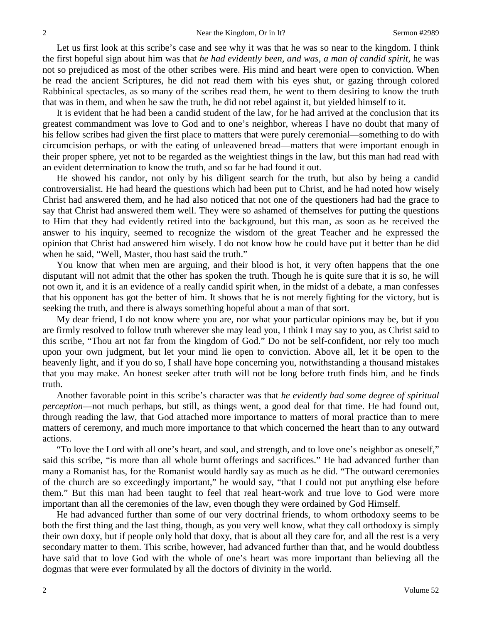Let us first look at this scribe's case and see why it was that he was so near to the kingdom. I think the first hopeful sign about him was that *he had evidently been, and was, a man of candid spirit,* he was not so prejudiced as most of the other scribes were. His mind and heart were open to conviction. When he read the ancient Scriptures, he did not read them with his eyes shut, or gazing through colored Rabbinical spectacles, as so many of the scribes read them, he went to them desiring to know the truth that was in them, and when he saw the truth, he did not rebel against it, but yielded himself to it.

It is evident that he had been a candid student of the law, for he had arrived at the conclusion that its greatest commandment was love to God and to one's neighbor, whereas I have no doubt that many of his fellow scribes had given the first place to matters that were purely ceremonial—something to do with circumcision perhaps, or with the eating of unleavened bread—matters that were important enough in their proper sphere, yet not to be regarded as the weightiest things in the law, but this man had read with an evident determination to know the truth, and so far he had found it out.

He showed his candor, not only by his diligent search for the truth, but also by being a candid controversialist. He had heard the questions which had been put to Christ, and he had noted how wisely Christ had answered them, and he had also noticed that not one of the questioners had had the grace to say that Christ had answered them well. They were so ashamed of themselves for putting the questions to Him that they had evidently retired into the background, but this man, as soon as he received the answer to his inquiry, seemed to recognize the wisdom of the great Teacher and he expressed the opinion that Christ had answered him wisely. I do not know how he could have put it better than he did when he said, "Well, Master, thou hast said the truth."

You know that when men are arguing, and their blood is hot, it very often happens that the one disputant will not admit that the other has spoken the truth. Though he is quite sure that it is so, he will not own it, and it is an evidence of a really candid spirit when, in the midst of a debate, a man confesses that his opponent has got the better of him. It shows that he is not merely fighting for the victory, but is seeking the truth, and there is always something hopeful about a man of that sort.

My dear friend, I do not know where you are, nor what your particular opinions may be, but if you are firmly resolved to follow truth wherever she may lead you, I think I may say to you, as Christ said to this scribe, "Thou art not far from the kingdom of God." Do not be self-confident, nor rely too much upon your own judgment, but let your mind lie open to conviction. Above all, let it be open to the heavenly light, and if you do so, I shall have hope concerning you, notwithstanding a thousand mistakes that you may make. An honest seeker after truth will not be long before truth finds him, and he finds truth.

Another favorable point in this scribe's character was that *he evidently had some degree of spiritual perception*—not much perhaps, but still, as things went, a good deal for that time. He had found out, through reading the law, that God attached more importance to matters of moral practice than to mere matters of ceremony, and much more importance to that which concerned the heart than to any outward actions.

"To love the Lord with all one's heart, and soul, and strength, and to love one's neighbor as oneself," said this scribe, "is more than all whole burnt offerings and sacrifices." He had advanced further than many a Romanist has, for the Romanist would hardly say as much as he did. "The outward ceremonies of the church are so exceedingly important," he would say, "that I could not put anything else before them." But this man had been taught to feel that real heart-work and true love to God were more important than all the ceremonies of the law, even though they were ordained by God Himself.

He had advanced further than some of our very doctrinal friends, to whom orthodoxy seems to be both the first thing and the last thing, though, as you very well know, what they call orthodoxy is simply their own doxy, but if people only hold that doxy, that is about all they care for, and all the rest is a very secondary matter to them. This scribe, however, had advanced further than that, and he would doubtless have said that to love God with the whole of one's heart was more important than believing all the dogmas that were ever formulated by all the doctors of divinity in the world.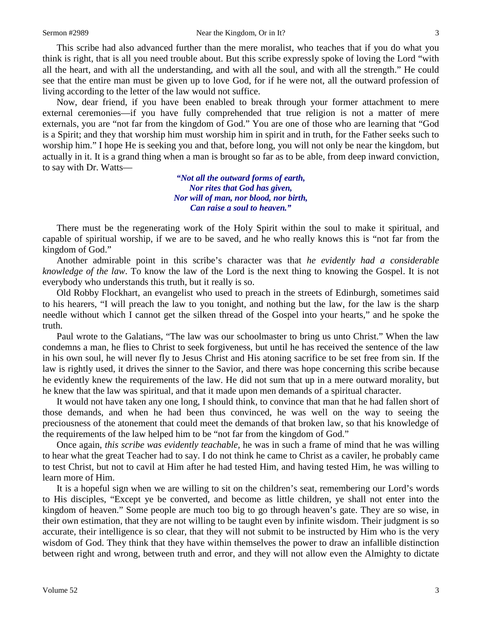This scribe had also advanced further than the mere moralist, who teaches that if you do what you think is right, that is all you need trouble about. But this scribe expressly spoke of loving the Lord "with all the heart, and with all the understanding, and with all the soul, and with all the strength." He could see that the entire man must be given up to love God, for if he were not, all the outward profession of living according to the letter of the law would not suffice.

Now, dear friend, if you have been enabled to break through your former attachment to mere external ceremonies—if you have fully comprehended that true religion is not a matter of mere externals, you are "not far from the kingdom of God." You are one of those who are learning that "God is a Spirit; and they that worship him must worship him in spirit and in truth, for the Father seeks such to worship him." I hope He is seeking you and that, before long, you will not only be near the kingdom, but actually in it. It is a grand thing when a man is brought so far as to be able, from deep inward conviction, to say with Dr. Watts—

> *"Not all the outward forms of earth, Nor rites that God has given, Nor will of man, nor blood, nor birth, Can raise a soul to heaven."*

There must be the regenerating work of the Holy Spirit within the soul to make it spiritual, and capable of spiritual worship, if we are to be saved, and he who really knows this is "not far from the kingdom of God."

Another admirable point in this scribe's character was that *he evidently had a considerable knowledge of the law*. To know the law of the Lord is the next thing to knowing the Gospel. It is not everybody who understands this truth, but it really is so.

Old Robby Flockhart, an evangelist who used to preach in the streets of Edinburgh, sometimes said to his hearers, "I will preach the law to you tonight, and nothing but the law, for the law is the sharp needle without which I cannot get the silken thread of the Gospel into your hearts," and he spoke the truth.

Paul wrote to the Galatians, "The law was our schoolmaster to bring us unto Christ." When the law condemns a man, he flies to Christ to seek forgiveness, but until he has received the sentence of the law in his own soul, he will never fly to Jesus Christ and His atoning sacrifice to be set free from sin. If the law is rightly used, it drives the sinner to the Savior, and there was hope concerning this scribe because he evidently knew the requirements of the law. He did not sum that up in a mere outward morality, but he knew that the law was spiritual, and that it made upon men demands of a spiritual character.

It would not have taken any one long, I should think, to convince that man that he had fallen short of those demands, and when he had been thus convinced, he was well on the way to seeing the preciousness of the atonement that could meet the demands of that broken law, so that his knowledge of the requirements of the law helped him to be "not far from the kingdom of God."

Once again, *this scribe was evidently teachable,* he was in such a frame of mind that he was willing to hear what the great Teacher had to say. I do not think he came to Christ as a caviler, he probably came to test Christ, but not to cavil at Him after he had tested Him, and having tested Him, he was willing to learn more of Him.

It is a hopeful sign when we are willing to sit on the children's seat, remembering our Lord's words to His disciples, "Except ye be converted, and become as little children, ye shall not enter into the kingdom of heaven." Some people are much too big to go through heaven's gate. They are so wise, in their own estimation, that they are not willing to be taught even by infinite wisdom. Their judgment is so accurate, their intelligence is so clear, that they will not submit to be instructed by Him who is the very wisdom of God. They think that they have within themselves the power to draw an infallible distinction between right and wrong, between truth and error, and they will not allow even the Almighty to dictate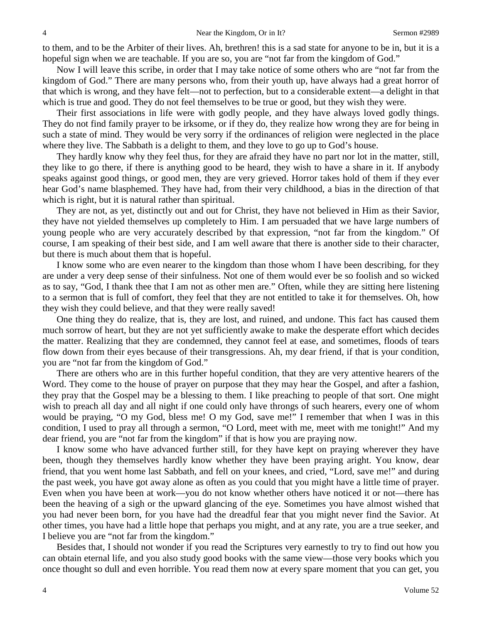to them, and to be the Arbiter of their lives. Ah, brethren! this is a sad state for anyone to be in, but it is a hopeful sign when we are teachable. If you are so, you are "not far from the kingdom of God."

Now I will leave this scribe, in order that I may take notice of some others who are "not far from the kingdom of God." There are many persons who, from their youth up, have always had a great horror of that which is wrong, and they have felt—not to perfection, but to a considerable extent—a delight in that which is true and good. They do not feel themselves to be true or good, but they wish they were.

Their first associations in life were with godly people, and they have always loved godly things. They do not find family prayer to be irksome, or if they do, they realize how wrong they are for being in such a state of mind. They would be very sorry if the ordinances of religion were neglected in the place where they live. The Sabbath is a delight to them, and they love to go up to God's house.

They hardly know why they feel thus, for they are afraid they have no part nor lot in the matter, still, they like to go there, if there is anything good to be heard, they wish to have a share in it. If anybody speaks against good things, or good men, they are very grieved. Horror takes hold of them if they ever hear God's name blasphemed. They have had, from their very childhood, a bias in the direction of that which is right, but it is natural rather than spiritual.

They are not, as yet, distinctly out and out for Christ, they have not believed in Him as their Savior, they have not yielded themselves up completely to Him. I am persuaded that we have large numbers of young people who are very accurately described by that expression, "not far from the kingdom." Of course, I am speaking of their best side, and I am well aware that there is another side to their character, but there is much about them that is hopeful.

I know some who are even nearer to the kingdom than those whom I have been describing, for they are under a very deep sense of their sinfulness. Not one of them would ever be so foolish and so wicked as to say, "God, I thank thee that I am not as other men are." Often, while they are sitting here listening to a sermon that is full of comfort, they feel that they are not entitled to take it for themselves. Oh, how they wish they could believe, and that they were really saved!

One thing they do realize, that is, they are lost, and ruined, and undone. This fact has caused them much sorrow of heart, but they are not yet sufficiently awake to make the desperate effort which decides the matter. Realizing that they are condemned, they cannot feel at ease, and sometimes, floods of tears flow down from their eyes because of their transgressions. Ah, my dear friend, if that is your condition, you are "not far from the kingdom of God."

There are others who are in this further hopeful condition, that they are very attentive hearers of the Word. They come to the house of prayer on purpose that they may hear the Gospel, and after a fashion, they pray that the Gospel may be a blessing to them. I like preaching to people of that sort. One might wish to preach all day and all night if one could only have throngs of such hearers, every one of whom would be praying, "O my God, bless me! O my God, save me!" I remember that when I was in this condition, I used to pray all through a sermon, "O Lord, meet with me, meet with me tonight!" And my dear friend, you are "not far from the kingdom" if that is how you are praying now.

I know some who have advanced further still, for they have kept on praying wherever they have been, though they themselves hardly know whether they have been praying aright. You know, dear friend, that you went home last Sabbath, and fell on your knees, and cried, "Lord, save me!" and during the past week, you have got away alone as often as you could that you might have a little time of prayer. Even when you have been at work—you do not know whether others have noticed it or not—there has been the heaving of a sigh or the upward glancing of the eye. Sometimes you have almost wished that you had never been born, for you have had the dreadful fear that you might never find the Savior. At other times, you have had a little hope that perhaps you might, and at any rate, you are a true seeker, and I believe you are "not far from the kingdom."

Besides that, I should not wonder if you read the Scriptures very earnestly to try to find out how you can obtain eternal life, and you also study good books with the same view—those very books which you once thought so dull and even horrible. You read them now at every spare moment that you can get, you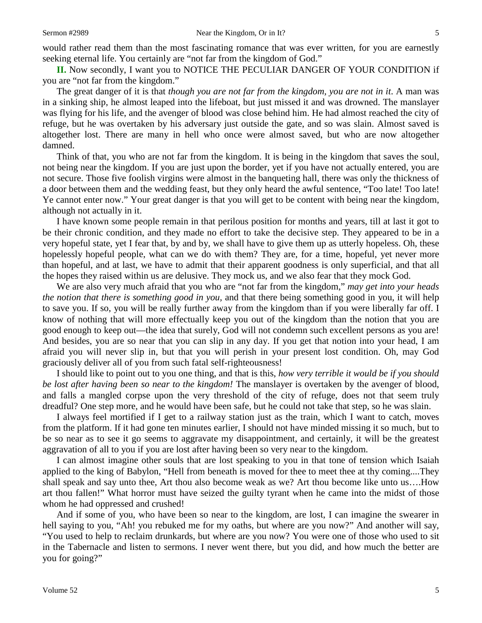would rather read them than the most fascinating romance that was ever written, for you are earnestly seeking eternal life. You certainly are "not far from the kingdom of God."

**II.** Now secondly, I want you to NOTICE THE PECULIAR DANGER OF YOUR CONDITION if you are "not far from the kingdom."

The great danger of it is that *though you are not far from the kingdom, you are not in it*. A man was in a sinking ship, he almost leaped into the lifeboat, but just missed it and was drowned. The manslayer was flying for his life, and the avenger of blood was close behind him. He had almost reached the city of refuge, but he was overtaken by his adversary just outside the gate, and so was slain. Almost saved is altogether lost. There are many in hell who once were almost saved, but who are now altogether damned.

Think of that, you who are not far from the kingdom. It is being in the kingdom that saves the soul, not being near the kingdom. If you are just upon the border, yet if you have not actually entered, you are not secure. Those five foolish virgins were almost in the banqueting hall, there was only the thickness of a door between them and the wedding feast, but they only heard the awful sentence, "Too late! Too late! Ye cannot enter now." Your great danger is that you will get to be content with being near the kingdom, although not actually in it.

I have known some people remain in that perilous position for months and years, till at last it got to be their chronic condition, and they made no effort to take the decisive step. They appeared to be in a very hopeful state, yet I fear that, by and by, we shall have to give them up as utterly hopeless. Oh, these hopelessly hopeful people, what can we do with them? They are, for a time, hopeful, yet never more than hopeful, and at last, we have to admit that their apparent goodness is only superficial, and that all the hopes they raised within us are delusive. They mock us, and we also fear that they mock God.

We are also very much afraid that you who are "not far from the kingdom," *may get into your heads the notion that there is something good in you,* and that there being something good in you, it will help to save you. If so, you will be really further away from the kingdom than if you were liberally far off. I know of nothing that will more effectually keep you out of the kingdom than the notion that you are good enough to keep out—the idea that surely, God will not condemn such excellent persons as you are! And besides, you are so near that you can slip in any day. If you get that notion into your head, I am afraid you will never slip in, but that you will perish in your present lost condition. Oh, may God graciously deliver all of you from such fatal self-righteousness!

I should like to point out to you one thing, and that is this, *how very terrible it would be if you should be lost after having been so near to the kingdom!* The manslayer is overtaken by the avenger of blood, and falls a mangled corpse upon the very threshold of the city of refuge, does not that seem truly dreadful? One step more, and he would have been safe, but he could not take that step, so he was slain.

I always feel mortified if I get to a railway station just as the train, which I want to catch, moves from the platform. If it had gone ten minutes earlier, I should not have minded missing it so much, but to be so near as to see it go seems to aggravate my disappointment, and certainly, it will be the greatest aggravation of all to you if you are lost after having been so very near to the kingdom.

I can almost imagine other souls that are lost speaking to you in that tone of tension which Isaiah applied to the king of Babylon, "Hell from beneath is moved for thee to meet thee at thy coming....They shall speak and say unto thee, Art thou also become weak as we? Art thou become like unto us….How art thou fallen!" What horror must have seized the guilty tyrant when he came into the midst of those whom he had oppressed and crushed!

And if some of you, who have been so near to the kingdom, are lost, I can imagine the swearer in hell saying to you, "Ah! you rebuked me for my oaths, but where are you now?" And another will say, "You used to help to reclaim drunkards, but where are you now? You were one of those who used to sit in the Tabernacle and listen to sermons. I never went there, but you did, and how much the better are you for going?"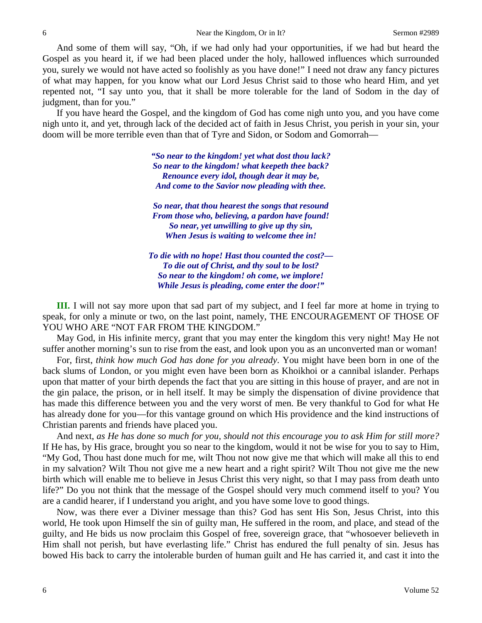And some of them will say, "Oh, if we had only had your opportunities, if we had but heard the Gospel as you heard it, if we had been placed under the holy, hallowed influences which surrounded you, surely we would not have acted so foolishly as you have done!" I need not draw any fancy pictures of what may happen, for you know what our Lord Jesus Christ said to those who heard Him, and yet repented not, "I say unto you, that it shall be more tolerable for the land of Sodom in the day of judgment, than for you."

If you have heard the Gospel, and the kingdom of God has come nigh unto you, and you have come nigh unto it, and yet, through lack of the decided act of faith in Jesus Christ, you perish in your sin, your doom will be more terrible even than that of Tyre and Sidon, or Sodom and Gomorrah—

> *"So near to the kingdom! yet what dost thou lack? So near to the kingdom! what keepeth thee back? Renounce every idol, though dear it may be, And come to the Savior now pleading with thee.*

> *So near, that thou hearest the songs that resound From those who, believing, a pardon have found! So near, yet unwilling to give up thy sin, When Jesus is waiting to welcome thee in!*

*To die with no hope! Hast thou counted the cost?— To die out of Christ, and thy soul to be lost? So near to the kingdom! oh come, we implore! While Jesus is pleading, come enter the door!"*

**III.** I will not say more upon that sad part of my subject, and I feel far more at home in trying to speak, for only a minute or two, on the last point, namely, THE ENCOURAGEMENT OF THOSE OF YOU WHO ARE "NOT FAR FROM THE KINGDOM."

May God, in His infinite mercy, grant that you may enter the kingdom this very night! May He not suffer another morning's sun to rise from the east, and look upon you as an unconverted man or woman!

For, first, *think how much God has done for you already*. You might have been born in one of the back slums of London, or you might even have been born as Khoikhoi or a cannibal islander. Perhaps upon that matter of your birth depends the fact that you are sitting in this house of prayer, and are not in the gin palace, the prison, or in hell itself. It may be simply the dispensation of divine providence that has made this difference between you and the very worst of men. Be very thankful to God for what He has already done for you—for this vantage ground on which His providence and the kind instructions of Christian parents and friends have placed you.

And next, *as He has done so much for you, should not this encourage you to ask Him for still more?* If He has, by His grace, brought you so near to the kingdom, would it not be wise for you to say to Him, "My God, Thou hast done much for me, wilt Thou not now give me that which will make all this to end in my salvation? Wilt Thou not give me a new heart and a right spirit? Wilt Thou not give me the new birth which will enable me to believe in Jesus Christ this very night, so that I may pass from death unto life?" Do you not think that the message of the Gospel should very much commend itself to you? You are a candid hearer, if I understand you aright, and you have some love to good things.

Now, was there ever a Diviner message than this? God has sent His Son, Jesus Christ, into this world, He took upon Himself the sin of guilty man, He suffered in the room, and place, and stead of the guilty, and He bids us now proclaim this Gospel of free, sovereign grace, that "whosoever believeth in Him shall not perish, but have everlasting life." Christ has endured the full penalty of sin. Jesus has bowed His back to carry the intolerable burden of human guilt and He has carried it, and cast it into the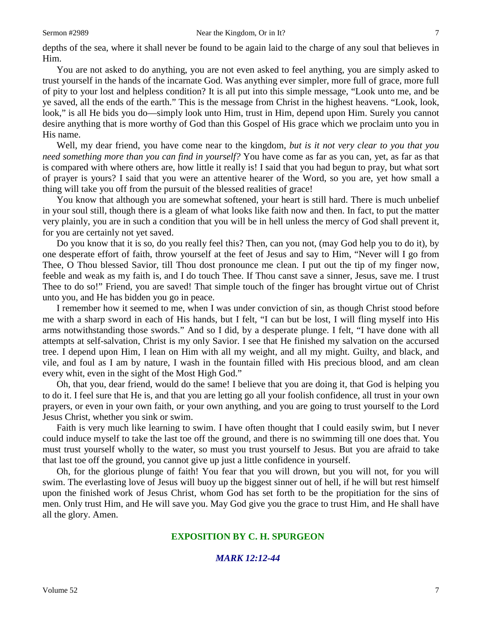depths of the sea, where it shall never be found to be again laid to the charge of any soul that believes in Him.

You are not asked to do anything, you are not even asked to feel anything, you are simply asked to trust yourself in the hands of the incarnate God. Was anything ever simpler, more full of grace, more full of pity to your lost and helpless condition? It is all put into this simple message, "Look unto me, and be ye saved, all the ends of the earth." This is the message from Christ in the highest heavens. "Look, look, look," is all He bids you do—simply look unto Him, trust in Him, depend upon Him. Surely you cannot desire anything that is more worthy of God than this Gospel of His grace which we proclaim unto you in His name.

Well, my dear friend, you have come near to the kingdom, *but is it not very clear to you that you need something more than you can find in yourself?* You have come as far as you can, yet, as far as that is compared with where others are, how little it really is! I said that you had begun to pray, but what sort of prayer is yours? I said that you were an attentive hearer of the Word, so you are, yet how small a thing will take you off from the pursuit of the blessed realities of grace!

You know that although you are somewhat softened, your heart is still hard. There is much unbelief in your soul still, though there is a gleam of what looks like faith now and then. In fact, to put the matter very plainly, you are in such a condition that you will be in hell unless the mercy of God shall prevent it, for you are certainly not yet saved.

Do you know that it is so, do you really feel this? Then, can you not, (may God help you to do it), by one desperate effort of faith, throw yourself at the feet of Jesus and say to Him, "Never will I go from Thee, O Thou blessed Savior, till Thou dost pronounce me clean. I put out the tip of my finger now, feeble and weak as my faith is, and I do touch Thee. If Thou canst save a sinner, Jesus, save me. I trust Thee to do so!" Friend, you are saved! That simple touch of the finger has brought virtue out of Christ unto you, and He has bidden you go in peace.

I remember how it seemed to me, when I was under conviction of sin, as though Christ stood before me with a sharp sword in each of His hands, but I felt, "I can but be lost, I will fling myself into His arms notwithstanding those swords." And so I did, by a desperate plunge. I felt, "I have done with all attempts at self-salvation, Christ is my only Savior. I see that He finished my salvation on the accursed tree. I depend upon Him, I lean on Him with all my weight, and all my might. Guilty, and black, and vile, and foul as I am by nature, I wash in the fountain filled with His precious blood, and am clean every whit, even in the sight of the Most High God."

Oh, that you, dear friend, would do the same! I believe that you are doing it, that God is helping you to do it. I feel sure that He is, and that you are letting go all your foolish confidence, all trust in your own prayers, or even in your own faith, or your own anything, and you are going to trust yourself to the Lord Jesus Christ, whether you sink or swim.

Faith is very much like learning to swim. I have often thought that I could easily swim, but I never could induce myself to take the last toe off the ground, and there is no swimming till one does that. You must trust yourself wholly to the water, so must you trust yourself to Jesus. But you are afraid to take that last toe off the ground, you cannot give up just a little confidence in yourself.

Oh, for the glorious plunge of faith! You fear that you will drown, but you will not, for you will swim. The everlasting love of Jesus will buoy up the biggest sinner out of hell, if he will but rest himself upon the finished work of Jesus Christ, whom God has set forth to be the propitiation for the sins of men. Only trust Him, and He will save you. May God give you the grace to trust Him, and He shall have all the glory. Amen.

### **EXPOSITION BY C. H. SPURGEON**

## *MARK 12:12-44*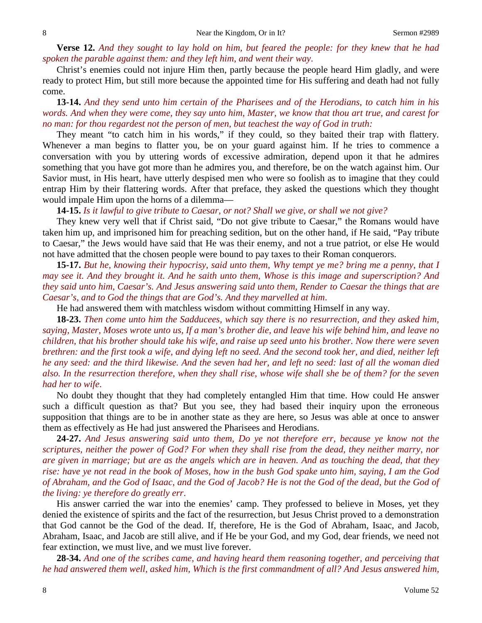**Verse 12.** *And they sought to lay hold on him, but feared the people: for they knew that he had spoken the parable against them: and they left him, and went their way*.

Christ's enemies could not injure Him then, partly because the people heard Him gladly, and were ready to protect Him, but still more because the appointed time for His suffering and death had not fully come.

**13-14.** *And they send unto him certain of the Pharisees and of the Herodians, to catch him in his words. And when they were come, they say unto him, Master, we know that thou art true, and carest for no man: for thou regardest not the person of men, but teachest the way of God in truth:*

They meant "to catch him in his words," if they could, so they baited their trap with flattery. Whenever a man begins to flatter you, be on your guard against him. If he tries to commence a conversation with you by uttering words of excessive admiration, depend upon it that he admires something that you have got more than he admires you, and therefore, be on the watch against him. Our Savior must, in His heart, have utterly despised men who were so foolish as to imagine that they could entrap Him by their flattering words. After that preface, they asked the questions which they thought would impale Him upon the horns of a dilemma—

**14-15.** *Is it lawful to give tribute to Caesar, or not? Shall we give, or shall we not give?*

They knew very well that if Christ said, "Do not give tribute to Caesar," the Romans would have taken him up, and imprisoned him for preaching sedition, but on the other hand, if He said, "Pay tribute to Caesar," the Jews would have said that He was their enemy, and not a true patriot, or else He would not have admitted that the chosen people were bound to pay taxes to their Roman conquerors.

**15-17.** *But he, knowing their hypocrisy, said unto them, Why tempt ye me? bring me a penny, that I may see it. And they brought it. And he saith unto them, Whose is this image and superscription? And they said unto him, Caesar's. And Jesus answering said unto them, Render to Caesar the things that are Caesar's, and to God the things that are God's. And they marvelled at him*.

He had answered them with matchless wisdom without committing Himself in any way.

**18-23.** *Then come unto him the Sadducees, which say there is no resurrection, and they asked him, saying, Master, Moses wrote unto us, If a man's brother die, and leave his wife behind him, and leave no children, that his brother should take his wife, and raise up seed unto his brother. Now there were seven brethren: and the first took a wife, and dying left no seed. And the second took her, and died, neither left he any seed: and the third likewise. And the seven had her, and left no seed: last of all the woman died also. In the resurrection therefore, when they shall rise, whose wife shall she be of them? for the seven had her to wife*.

No doubt they thought that they had completely entangled Him that time. How could He answer such a difficult question as that? But you see, they had based their inquiry upon the erroneous supposition that things are to be in another state as they are here, so Jesus was able at once to answer them as effectively as He had just answered the Pharisees and Herodians.

**24-27.** *And Jesus answering said unto them, Do ye not therefore err, because ye know not the scriptures, neither the power of God? For when they shall rise from the dead, they neither marry, nor are given in marriage; but are as the angels which are in heaven. And as touching the dead, that they rise: have ye not read in the book of Moses, how in the bush God spake unto him, saying, I am the God of Abraham, and the God of Isaac, and the God of Jacob? He is not the God of the dead, but the God of the living: ye therefore do greatly err*.

His answer carried the war into the enemies' camp. They professed to believe in Moses, yet they denied the existence of spirits and the fact of the resurrection, but Jesus Christ proved to a demonstration that God cannot be the God of the dead. If, therefore, He is the God of Abraham, Isaac, and Jacob, Abraham, Isaac, and Jacob are still alive, and if He be your God, and my God, dear friends, we need not fear extinction, we must live, and we must live forever.

**28-34.** *And one of the scribes came, and having heard them reasoning together, and perceiving that he had answered them well, asked him, Which is the first commandment of all? And Jesus answered him,*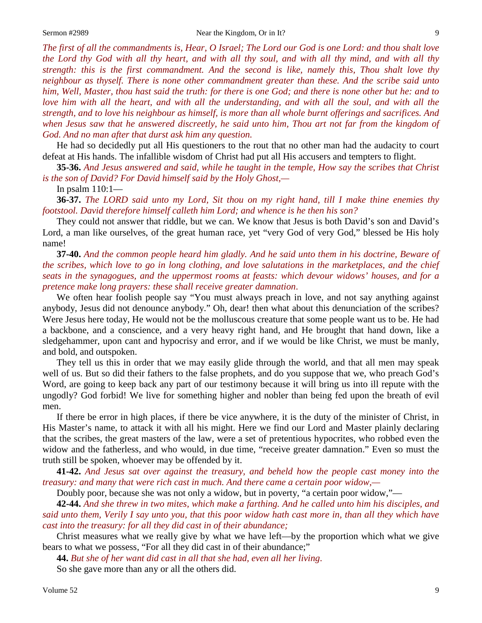*The first of all the commandments is, Hear, O Israel; The Lord our God is one Lord: and thou shalt love the Lord thy God with all thy heart, and with all thy soul, and with all thy mind, and with all thy strength: this is the first commandment. And the second is like, namely this, Thou shalt love thy neighbour as thyself. There is none other commandment greater than these. And the scribe said unto him, Well, Master, thou hast said the truth: for there is one God; and there is none other but he: and to love him with all the heart, and with all the understanding, and with all the soul, and with all the strength, and to love his neighbour as himself, is more than all whole burnt offerings and sacrifices. And when Jesus saw that he answered discreetly, he said unto him, Thou art not far from the kingdom of God. And no man after that durst ask him any question.*

He had so decidedly put all His questioners to the rout that no other man had the audacity to court defeat at His hands. The infallible wisdom of Christ had put all His accusers and tempters to flight.

**35-36.** *And Jesus answered and said, while he taught in the temple, How say the scribes that Christ is the son of David? For David himself said by the Holy Ghost,—*

In psalm 110:1—

**36-37.** *The LORD said unto my Lord, Sit thou on my right hand, till I make thine enemies thy footstool. David therefore himself calleth him Lord; and whence is he then his son?*

They could not answer that riddle, but we can. We know that Jesus is both David's son and David's Lord, a man like ourselves, of the great human race, yet "very God of very God," blessed be His holy name!

**37-40.** *And the common people heard him gladly. And he said unto them in his doctrine, Beware of the scribes, which love to go in long clothing, and love salutations in the marketplaces, and the chief seats in the synagogues, and the uppermost rooms at feasts: which devour widows' houses, and for a pretence make long prayers: these shall receive greater damnation*.

We often hear foolish people say "You must always preach in love, and not say anything against anybody, Jesus did not denounce anybody." Oh, dear! then what about this denunciation of the scribes? Were Jesus here today, He would not be the molluscous creature that some people want us to be. He had a backbone, and a conscience, and a very heavy right hand, and He brought that hand down, like a sledgehammer, upon cant and hypocrisy and error, and if we would be like Christ, we must be manly, and bold, and outspoken.

They tell us this in order that we may easily glide through the world, and that all men may speak well of us. But so did their fathers to the false prophets, and do you suppose that we, who preach God's Word, are going to keep back any part of our testimony because it will bring us into ill repute with the ungodly? God forbid! We live for something higher and nobler than being fed upon the breath of evil men.

If there be error in high places, if there be vice anywhere, it is the duty of the minister of Christ, in His Master's name, to attack it with all his might. Here we find our Lord and Master plainly declaring that the scribes, the great masters of the law, were a set of pretentious hypocrites, who robbed even the widow and the fatherless, and who would, in due time, "receive greater damnation." Even so must the truth still be spoken, whoever may be offended by it.

**41-42.** *And Jesus sat over against the treasury, and beheld how the people cast money into the treasury: and many that were rich cast in much. And there came a certain poor widow,—*

Doubly poor, because she was not only a widow, but in poverty, "a certain poor widow,"—

**42-44.** *And she threw in two mites, which make a farthing. And he called unto him his disciples, and said unto them, Verily I say unto you, that this poor widow hath cast more in, than all they which have cast into the treasury: for all they did cast in of their abundance;*

Christ measures what we really give by what we have left—by the proportion which what we give bears to what we possess, "For all they did cast in of their abundance;"

**44.** *But she of her want did cast in all that she had, even all her living*.

So she gave more than any or all the others did.